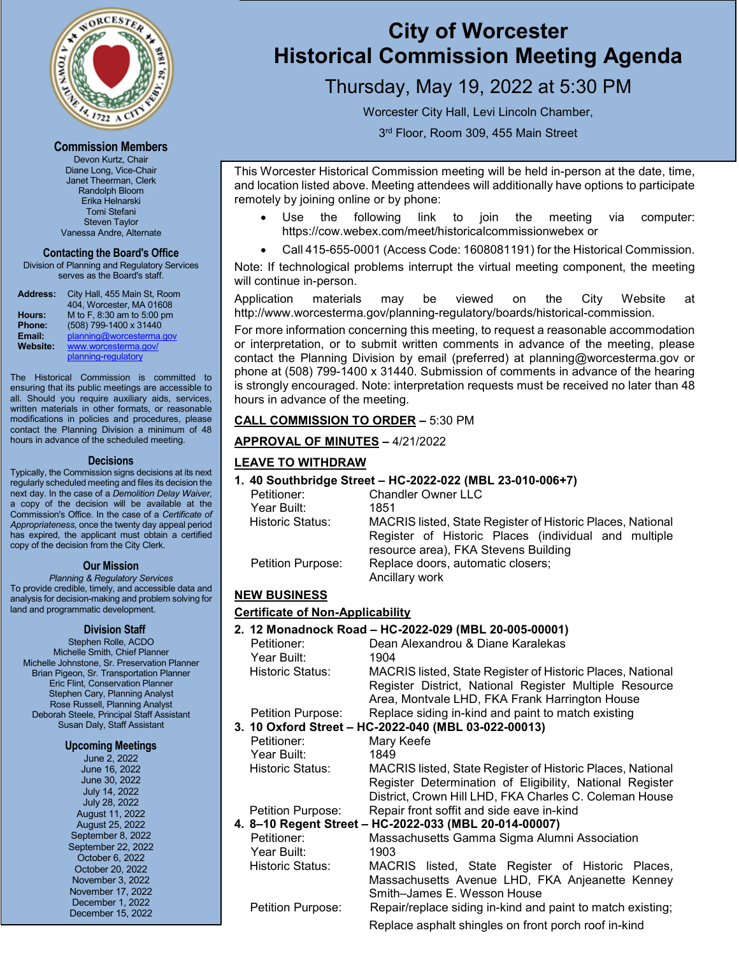

#### **Commission Members**

Devon Kurtz, Chair Diane Long, Vice-Chair Janet Theerman, Clerk Randolph Bloom Erika Helnarski Tomi Stefani Steven Taylor Vanessa Andre, Alternate

#### **Contacting the Board's Office**

Division of Planning and Regulatory Services serves as the Board's staff.

| <b>Address:</b> | City Hall, 455 Main St, Room<br>404, Worcester, MA 01608 |
|-----------------|----------------------------------------------------------|
| Hours:          | M to F, 8:30 am to 5:00 pm                               |
| Phone:          | (508) 799-1400 x 31440                                   |
| Email:          | planning@worcesterma.gov                                 |
| Website:        | www.worcesterma.gov/                                     |
|                 | planning-regulatory                                      |

The Historical Commission is committed to ensuring that its public meetings are accessible to all. Should you require auxiliary aids, services, written materials in other formats, or reasonable modifications in policies and procedures, please contact the Planning Division a minimum of 48 hours in advance of the scheduled meeting.

#### **Decisions**

Typically, the Commission signs decisions at its next regularly scheduled meeting and files its decision the next day. In the case of a *Demolition Delay Waiver*, a copy of the decision will be available at the Commission's Office. In the case of a *Certificate of Appropriateness*, once the twenty day appeal period has expired, the applicant must obtain a certified copy of the decision from the City Clerk.

#### **Our Mission**

*Planning & Regulatory Services* 

To provide credible, timely, and accessible data and analysis for decision-making and problem solving for land and programmatic development.

#### **Division Staff**

Stephen Rolle, ACDO Michelle Smith, Chief Planner Michelle Johnstone, Sr. Preservation Planner Brian Pigeon, Sr. Transportation Planner Eric Flint, Conservation Planner Stephen Cary, Planning Analyst Rose Russell, Planning Analyst Deborah Steele, Principal Staff Assistant Susan Daly, Staff Assistant

#### **Upcoming Meetings**

June 2, 2022 June 16, 2022 June 30, 2022 July 14, 2022 July 28, 2022 August 11, 2022 August 25, 2022 September 8, 2022 September 22, 2022 October 6, 2022 October 20, 2022 November 3, 2022 November 17, 2022 December 1, 2022 December 15, 2022

İ

# **City of Worcester Historical Commission Meeting Agenda**

# Thursday, May 19, 2022 at 5:30 PM

Worcester City Hall, Levi Lincoln Chamber,

3<sup>rd</sup> Floor, Room 309, 455 Main Street

This Worcester Historical Commission meeting will be held in-person at the date, time, and location listed above. Meeting attendees will additionally have options to participate remotely by joining online or by phone:

- Use the following link to join the meeting via computer: https://cow.webex.com/meet/historicalcommissionwebex or
- Call 415-655-0001 (Access Code: 1608081191) for the Historical Commission.

Note: If technological problems interrupt the virtual meeting component, the meeting will continue in-person.

Application materials may be viewed on the City Website at http://www.worcesterma.gov/planning-regulatory/boards/historical-commission.

For more information concerning this meeting, to request a reasonable accommodation or interpretation, or to submit written comments in advance of the meeting, please contact the Planning Division by email (preferred) at planning@worcesterma.gov or phone at (508) 799-1400 x 31440. Submission of comments in advance of the hearing is strongly encouraged. Note: interpretation requests must be received no later than 48 hours in advance of the meeting.

## **CALL COMMISSION TO ORDER –** 5:30 PM

## **APPROVAL OF MINUTES –** 4/21/2022

## **LEAVE TO WITHDRAW**

**1. 40 Southbridge Street – HC-2022-022 (MBL 23-010-006+7)**

| Petitioner:       | <b>Chandler Owner LLC</b>                                                                    |
|-------------------|----------------------------------------------------------------------------------------------|
| Year Built:       | 1851                                                                                         |
| Historic Status:  | MACRIS listed, State Register of Historic Places, National                                   |
|                   | Register of Historic Places (individual and multiple<br>resource area), FKA Stevens Building |
| Petition Purpose: | Replace doors, automatic closers;                                                            |
|                   | Ancillary work                                                                               |

**NEW BUSINESS Certificate of Non-Applicability 2. 12 Monadnock Road – HC-2022-029 (MBL 20-005-00001)** Petitioner: Dean Alexandrou & Diane Karalekas Year Built: 1904<br>Historic Status: MAC MACRIS listed, State Register of Historic Places, National Register District, National Register Multiple Resource Area, Montvale LHD, FKA Frank Harrington House Petition Purpose: Replace siding in-kind and paint to match existing **3. 10 Oxford Street – HC-2022-040 (MBL 03-022-00013)** Mary Keefe Year Built: 1849 Historic Status: MACRIS listed, State Register of Historic Places, National Register Determination of Eligibility, National Register District, Crown Hill LHD, FKA Charles C. Coleman House Petition Purpose: Repair front soffit and side eave in-kind **4. 8–10 Regent Street – HC-2022-033 (MBL 20-014-00007)** Petitioner: Massachusetts Gamma Sigma Alumni Association Year Built: 1903 Historic Status: MACRIS listed, State Register of Historic Places, Massachusetts Avenue LHD, FKA Anjeanette Kenney Smith–James E. Wesson House Petition Purpose: Repair/replace siding in-kind and paint to match existing;

Replace asphalt shingles on front porch roof in-kind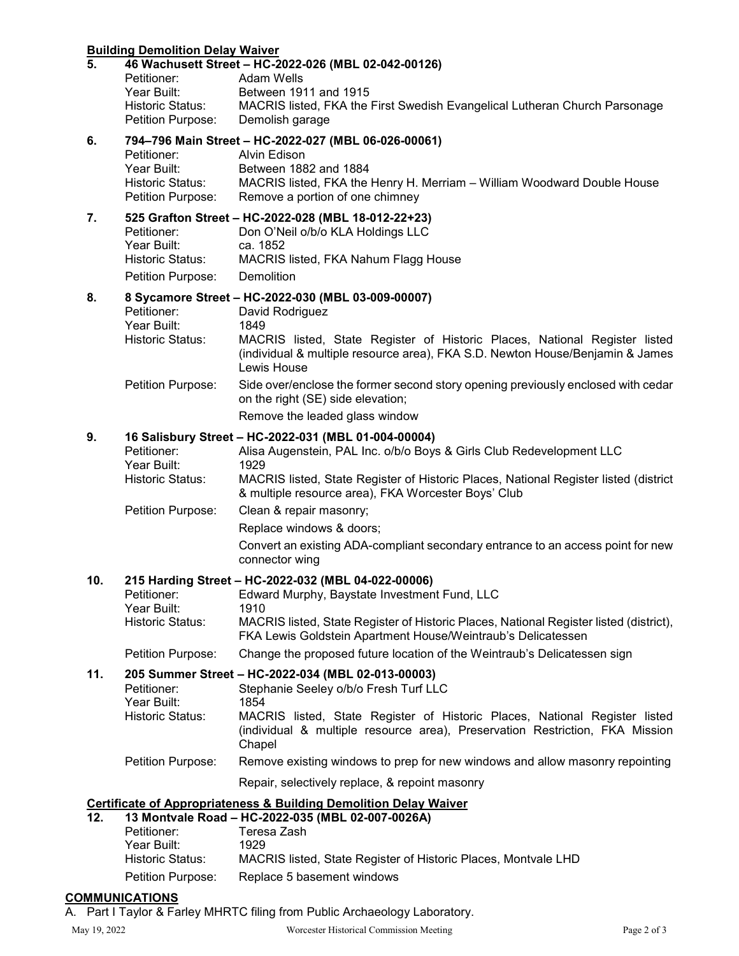## **Building Demolition Delay Waiver**

| 5.                                                                           | Petitioner:<br>Year Built:<br>Historic Status:<br>Petition Purpose:        | 46 Wachusett Street – HC-2022-026 (MBL 02-042-00126)<br>Adam Wells<br>Between 1911 and 1915<br>MACRIS listed, FKA the First Swedish Evangelical Lutheran Church Parsonage<br>Demolish garage                                                                                        |
|------------------------------------------------------------------------------|----------------------------------------------------------------------------|-------------------------------------------------------------------------------------------------------------------------------------------------------------------------------------------------------------------------------------------------------------------------------------|
| 6.                                                                           | Petitioner:<br>Year Built:<br>Historic Status:<br>Petition Purpose:        | 794-796 Main Street - HC-2022-027 (MBL 06-026-00061)<br>Alvin Edison<br>Between 1882 and 1884<br>MACRIS listed, FKA the Henry H. Merriam - William Woodward Double House<br>Remove a portion of one chimney                                                                         |
| 7.                                                                           | Petitioner:<br>Year Built:<br>Historic Status:<br>Petition Purpose:        | 525 Grafton Street - HC-2022-028 (MBL 18-012-22+23)<br>Don O'Neil o/b/o KLA Holdings LLC<br>ca. 1852<br>MACRIS listed, FKA Nahum Flagg House<br>Demolition                                                                                                                          |
| 8.                                                                           | Petitioner:<br>Year Built:<br><b>Historic Status:</b>                      | 8 Sycamore Street - HC-2022-030 (MBL 03-009-00007)<br>David Rodriguez<br>1849<br>MACRIS listed, State Register of Historic Places, National Register listed<br>(individual & multiple resource area), FKA S.D. Newton House/Benjamin & James<br>Lewis House                         |
|                                                                              | Petition Purpose:                                                          | Side over/enclose the former second story opening previously enclosed with cedar<br>on the right (SE) side elevation;                                                                                                                                                               |
|                                                                              |                                                                            | Remove the leaded glass window                                                                                                                                                                                                                                                      |
| 9.                                                                           | Petitioner:<br>Year Built:<br><b>Historic Status:</b>                      | 16 Salisbury Street - HC-2022-031 (MBL 01-004-00004)<br>Alisa Augenstein, PAL Inc. o/b/o Boys & Girls Club Redevelopment LLC<br>1929<br>MACRIS listed, State Register of Historic Places, National Register listed (district<br>& multiple resource area), FKA Worcester Boys' Club |
|                                                                              | Petition Purpose:                                                          | Clean & repair masonry;                                                                                                                                                                                                                                                             |
|                                                                              |                                                                            | Replace windows & doors;<br>Convert an existing ADA-compliant secondary entrance to an access point for new<br>connector wing                                                                                                                                                       |
| 10.                                                                          | Petitioner:<br>Year Built:<br><b>Historic Status:</b>                      | 215 Harding Street - HC-2022-032 (MBL 04-022-00006)<br>Edward Murphy, Baystate Investment Fund, LLC<br>1910<br>MACRIS listed, State Register of Historic Places, National Register listed (district),<br>FKA Lewis Goldstein Apartment House/Weintraub's Delicatessen               |
|                                                                              | Petition Purpose:                                                          | Change the proposed future location of the Weintraub's Delicatessen sign                                                                                                                                                                                                            |
| 11.                                                                          |                                                                            | 205 Summer Street - HC-2022-034 (MBL 02-013-00003)                                                                                                                                                                                                                                  |
|                                                                              | Petitioner:<br>Year Built:<br><b>Historic Status:</b>                      | Stephanie Seeley o/b/o Fresh Turf LLC<br>1854<br>MACRIS listed, State Register of Historic Places, National Register listed<br>(individual & multiple resource area), Preservation Restriction, FKA Mission<br>Chapel                                                               |
|                                                                              | Petition Purpose:                                                          | Remove existing windows to prep for new windows and allow masonry repointing                                                                                                                                                                                                        |
|                                                                              |                                                                            | Repair, selectively replace, & repoint masonry                                                                                                                                                                                                                                      |
| <b>Certificate of Appropriateness &amp; Building Demolition Delay Waiver</b> |                                                                            |                                                                                                                                                                                                                                                                                     |
| 12.                                                                          | Petitioner:<br>Year Built:<br><b>Historic Status:</b><br>Petition Purpose: | 13 Montvale Road - HC-2022-035 (MBL 02-007-0026A)<br>Teresa Zash<br>1929<br>MACRIS listed, State Register of Historic Places, Montvale LHD<br>Replace 5 basement windows                                                                                                            |

# **COMMUNICATIONS**

A. Part I Taylor & Farley MHRTC filing from Public Archaeology Laboratory.